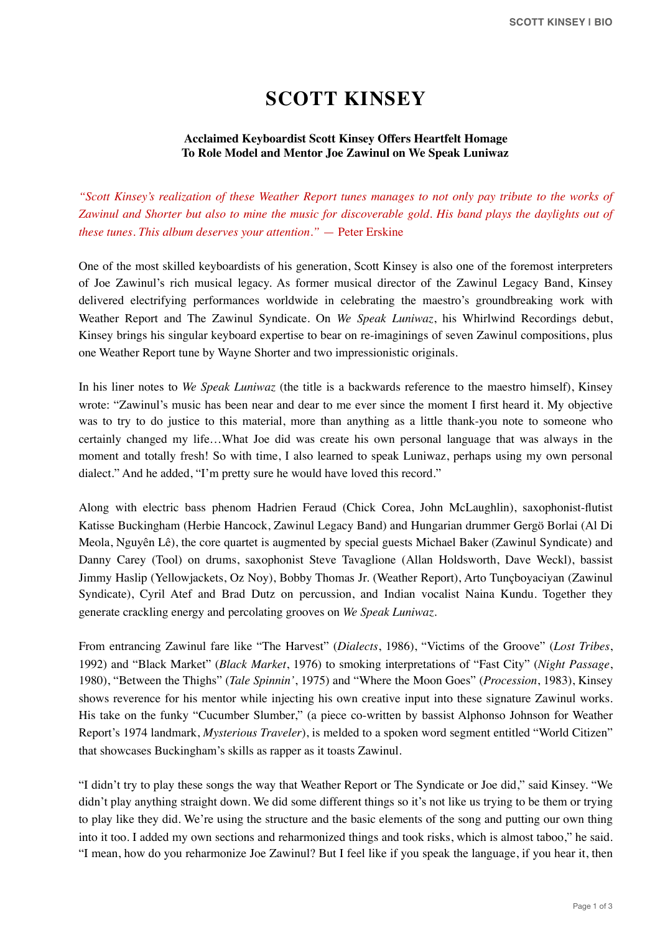## **SCOTT KINSEY**

## **Acclaimed Keyboardist Scott Kinsey Offers Heartfelt Homage To Role Model and Mentor Joe Zawinul on We Speak Luniwaz**

*"Scott Kinsey's realization of these Weather Report tunes manages to not only pay tribute to the works of Zawinul and Shorter but also to mine the music for discoverable gold. His band plays the daylights out of these tunes. This album deserves your attention."* — Peter Erskine

One of the most skilled keyboardists of his generation, Scott Kinsey is also one of the foremost interpreters of Joe Zawinul's rich musical legacy. As former musical director of the Zawinul Legacy Band, Kinsey delivered electrifying performances worldwide in celebrating the maestro's groundbreaking work with Weather Report and The Zawinul Syndicate. On *We Speak Luniwaz*, his Whirlwind Recordings debut, Kinsey brings his singular keyboard expertise to bear on re-imaginings of seven Zawinul compositions, plus one Weather Report tune by Wayne Shorter and two impressionistic originals.

In his liner notes to *We Speak Luniwaz* (the title is a backwards reference to the maestro himself), Kinsey wrote: "Zawinul's music has been near and dear to me ever since the moment I first heard it. My objective was to try to do justice to this material, more than anything as a little thank-you note to someone who certainly changed my life…What Joe did was create his own personal language that was always in the moment and totally fresh! So with time, I also learned to speak Luniwaz, perhaps using my own personal dialect." And he added, "I'm pretty sure he would have loved this record."

Along with electric bass phenom Hadrien Feraud (Chick Corea, John McLaughlin), saxophonist-flutist Katisse Buckingham (Herbie Hancock, Zawinul Legacy Band) and Hungarian drummer Gergö Borlai (Al Di Meola, Nguyên Lê), the core quartet is augmented by special guests Michael Baker (Zawinul Syndicate) and Danny Carey (Tool) on drums, saxophonist Steve Tavaglione (Allan Holdsworth, Dave Weckl), bassist Jimmy Haslip (Yellowjackets, Oz Noy), Bobby Thomas Jr. (Weather Report), Arto Tunçboyaciyan (Zawinul Syndicate), Cyril Atef and Brad Dutz on percussion, and Indian vocalist Naina Kundu. Together they generate crackling energy and percolating grooves on *We Speak Luniwaz*.

From entrancing Zawinul fare like "The Harvest" (*Dialects*, 1986), "Victims of the Groove" (*Lost Tribes*, 1992) and "Black Market" (*Black Market*, 1976) to smoking interpretations of "Fast City" (*Night Passage*, 1980), "Between the Thighs" (*Tale Spinnin'*, 1975) and "Where the Moon Goes" (*Procession*, 1983), Kinsey shows reverence for his mentor while injecting his own creative input into these signature Zawinul works. His take on the funky "Cucumber Slumber," (a piece co-written by bassist Alphonso Johnson for Weather Report's 1974 landmark, *Mysterious Traveler*), is melded to a spoken word segment entitled "World Citizen" that showcases Buckingham's skills as rapper as it toasts Zawinul.

"I didn't try to play these songs the way that Weather Report or The Syndicate or Joe did," said Kinsey. "We didn't play anything straight down. We did some different things so it's not like us trying to be them or trying to play like they did. We're using the structure and the basic elements of the song and putting our own thing into it too. I added my own sections and reharmonized things and took risks, which is almost taboo," he said. "I mean, how do you reharmonize Joe Zawinul? But I feel like if you speak the language, if you hear it, then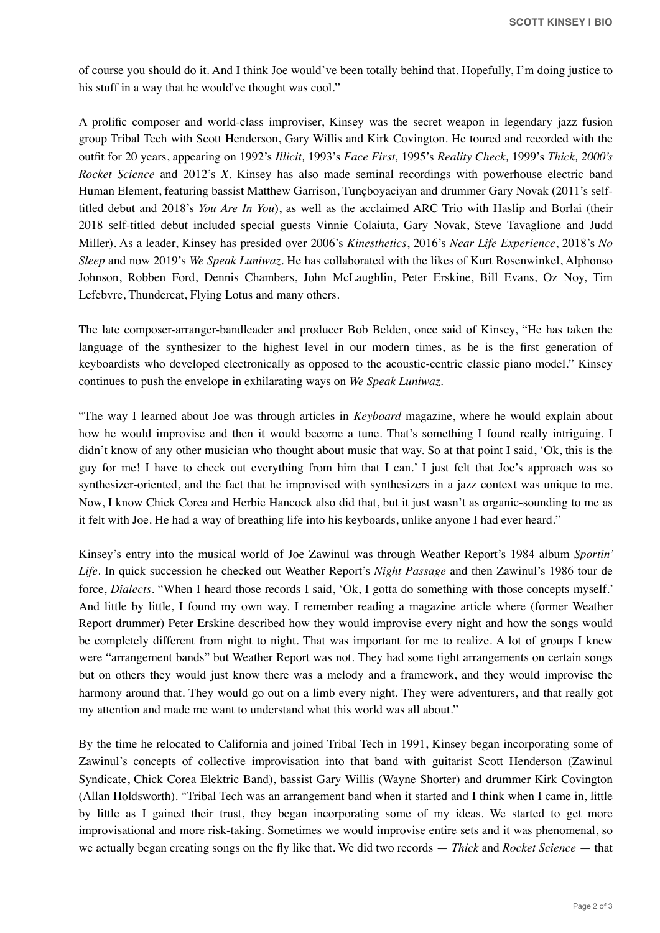of course you should do it. And I think Joe would've been totally behind that. Hopefully, I'm doing justice to his stuff in a way that he would've thought was cool."

A prolific composer and world-class improviser, Kinsey was the secret weapon in legendary jazz fusion group Tribal Tech with Scott Henderson, Gary Willis and Kirk Covington. He toured and recorded with the outfit for 20 years, appearing on 1992's *Illicit,* 1993's *Face First,* 1995's *Reality Check,* 1999's *Thick, 2000's Rocket Science* and 2012's *X*. Kinsey has also made seminal recordings with powerhouse electric band Human Element, featuring bassist Matthew Garrison, Tunçboyaciyan and drummer Gary Novak (2011's selftitled debut and 2018's *You Are In You*), as well as the acclaimed ARC Trio with Haslip and Borlai (their 2018 self-titled debut included special guests Vinnie Colaiuta, Gary Novak, Steve Tavaglione and Judd Miller). As a leader, Kinsey has presided over 2006's *Kinesthetics*, 2016's *Near Life Experience*, 2018's *No Sleep* and now 2019's *We Speak Luniwaz*. He has collaborated with the likes of Kurt Rosenwinkel, Alphonso Johnson, Robben Ford, Dennis Chambers, John McLaughlin, Peter Erskine, Bill Evans, Oz Noy, Tim Lefebvre, Thundercat, Flying Lotus and many others.

The late composer-arranger-bandleader and producer Bob Belden, once said of Kinsey, "He has taken the language of the synthesizer to the highest level in our modern times, as he is the first generation of keyboardists who developed electronically as opposed to the acoustic-centric classic piano model." Kinsey continues to push the envelope in exhilarating ways on *We Speak Luniwaz.*

"The way I learned about Joe was through articles in *Keyboard* magazine, where he would explain about how he would improvise and then it would become a tune. That's something I found really intriguing. I didn't know of any other musician who thought about music that way. So at that point I said, 'Ok, this is the guy for me! I have to check out everything from him that I can.' I just felt that Joe's approach was so synthesizer-oriented, and the fact that he improvised with synthesizers in a jazz context was unique to me. Now, I know Chick Corea and Herbie Hancock also did that, but it just wasn't as organic-sounding to me as it felt with Joe. He had a way of breathing life into his keyboards, unlike anyone I had ever heard."

Kinsey's entry into the musical world of Joe Zawinul was through Weather Report's 1984 album *Sportin' Life*. In quick succession he checked out Weather Report's *Night Passage* and then Zawinul's 1986 tour de force, *Dialects*. "When I heard those records I said, 'Ok, I gotta do something with those concepts myself.' And little by little, I found my own way. I remember reading a magazine article where (former Weather Report drummer) Peter Erskine described how they would improvise every night and how the songs would be completely different from night to night. That was important for me to realize. A lot of groups I knew were "arrangement bands" but Weather Report was not. They had some tight arrangements on certain songs but on others they would just know there was a melody and a framework, and they would improvise the harmony around that. They would go out on a limb every night. They were adventurers, and that really got my attention and made me want to understand what this world was all about."

By the time he relocated to California and joined Tribal Tech in 1991, Kinsey began incorporating some of Zawinul's concepts of collective improvisation into that band with guitarist Scott Henderson (Zawinul Syndicate, Chick Corea Elektric Band), bassist Gary Willis (Wayne Shorter) and drummer Kirk Covington (Allan Holdsworth). "Tribal Tech was an arrangement band when it started and I think when I came in, little by little as I gained their trust, they began incorporating some of my ideas. We started to get more improvisational and more risk-taking. Sometimes we would improvise entire sets and it was phenomenal, so we actually began creating songs on the fly like that. We did two records — *Thick* and *Rocket Science* — that